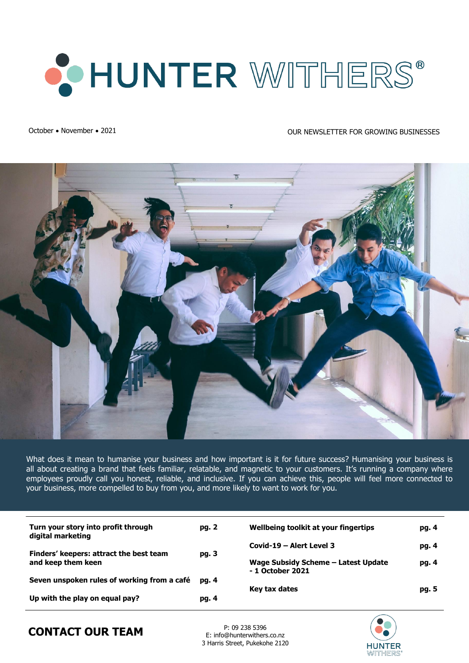

### October • November • 2021 2008 NEWSLETTER FOR GROWING BUSINESSES



What does it mean to humanise your business and how important is it for future success? Humanising your business is all about creating a brand that feels familiar, relatable, and magnetic to your customers. It's running a company where employees proudly call you honest, reliable, and inclusive. If you can achieve this, people will feel more connected to your business, more compelled to buy from you, and more likely to want to work for you.

| Turn your story into profit through<br>digital marketing      | pg. 2          | Wellbeing toolkit at your fingertips                    | pg. 4 |
|---------------------------------------------------------------|----------------|---------------------------------------------------------|-------|
|                                                               |                | Covid-19 – Alert Level 3                                | pg. 4 |
| Finders' keepers: attract the best team<br>and keep them keen | pg. 3          | Wage Subsidy Scheme – Latest Update<br>- 1 October 2021 | pg. 4 |
| Seven unspoken rules of working from a café                   | pg. 4<br>pg. 4 | Key tax dates                                           | pg. 5 |
| Up with the play on equal pay?                                |                |                                                         |       |



## **CONTACT OUR TEAM** P: 09 238 5396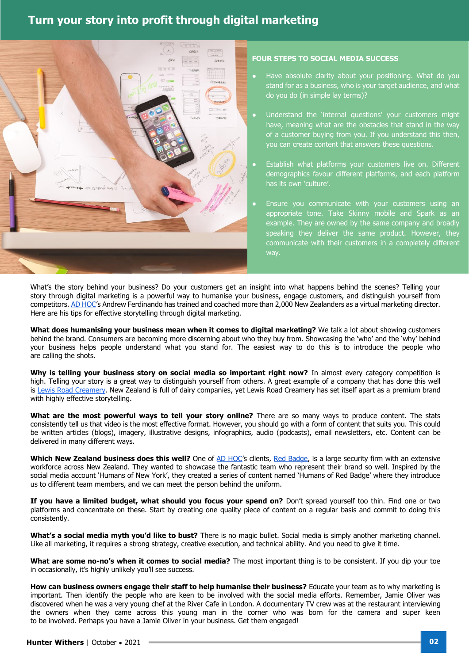### **Turn your story into profit through digital marketing**



#### **FOUR STEPS TO SOCIAL MEDIA SUCCESS**

- Have absolute clarity about your positioning. What do you stand for as a business, who is your target audience, and what do you do (in simple lay terms)?
- Understand the 'internal questions' your customers might have, meaning what are the obstacles that stand in the way of a customer buying from you. If you understand this then, you can create content that answers these questions.
- Establish what platforms your customers live on. Different demographics favour different platforms, and each platform has its own 'culture'.
- Ensure you communicate with your customers using an appropriate tone. Take Skinny mobile and Spark as an example. They are owned by the same company and broadly speaking they deliver the same product. However, they communicate with their customers in a completely different way.

What's the story behind your business? Do your customers get an insight into what happens behind the scenes? Telling your story through digital marketing is a powerful way to humanise your business, engage customers, and distinguish yourself from competitors[. AD HOC](http://www.adhoc.help/)'s Andrew Ferdinando has trained and coached more than 2,000 New Zealanders as a virtual marketing director. Here are his tips for effective storytelling through digital marketing.

**What does humanising your business mean when it comes to digital marketing?** We talk a lot about showing customers behind the brand. Consumers are becoming more discerning about who they buy from. Showcasing the 'who' and the 'why' behind your business helps people understand what you stand for. The easiest way to do this is to introduce the people who are calling the shots.

**Why is telling your business story on social media so important right now?** In almost every category competition is high. Telling your story is a great way to distinguish yourself from others. A great example of a company that has done this well is [Lewis Road Creamery.](https://lewisroadcreamery.co.nz/) New Zealand is full of dairy companies, yet Lewis Road Creamery has set itself apart as a premium brand with highly effective storytelling.

**What are the most powerful ways to tell your story online?** There are so many ways to produce content. The stats consistently tell us that video is the most effective format. However, you should go with a form of content that suits you. This could be written articles (blogs), imagery, illustrative designs, infographics, audio (podcasts), email newsletters, etc. Content can be delivered in many different ways.

Which New Zealand business does this well? One of [AD HOC](http://www.adhoc.help/)'s clients, [Red Badge,](https://www.facebook.com/RedBadgeGroup/) is a large security firm with an extensive workforce across New Zealand. They wanted to showcase the fantastic team who represent their brand so well. Inspired by the social media account 'Humans of New York', they created a series of content named 'Humans of Red Badge' where they introduce us to different team members, and we can meet the person behind the uniform.

**If you have a limited budget, what should you focus your spend on?** Don't spread yourself too thin. Find one or two platforms and concentrate on these. Start by creating one quality piece of content on a regular basis and commit to doing this consistently.

**What's a social media myth you'd like to bust?** There is no magic bullet. Social media is simply another marketing channel. Like all marketing, it requires a strong strategy, creative execution, and technical ability. And you need to give it time.

**What are some no-no's when it comes to social media?** The most important thing is to be consistent. If you dip your toe in occasionally, it's highly unlikely you'll see success.

**How can business owners engage their staff to help humanise their business?** Educate your team as to why marketing is important. Then identify the people who are keen to be involved with the social media efforts. Remember, Jamie Oliver was discovered when he was a very young chef at the River Cafe in London. A documentary TV crew was at the restaurant interviewing the owners when they came across this young man in the corner who was born for the camera and super keen to be involved. Perhaps you have a Jamie Oliver in your business. Get them engaged!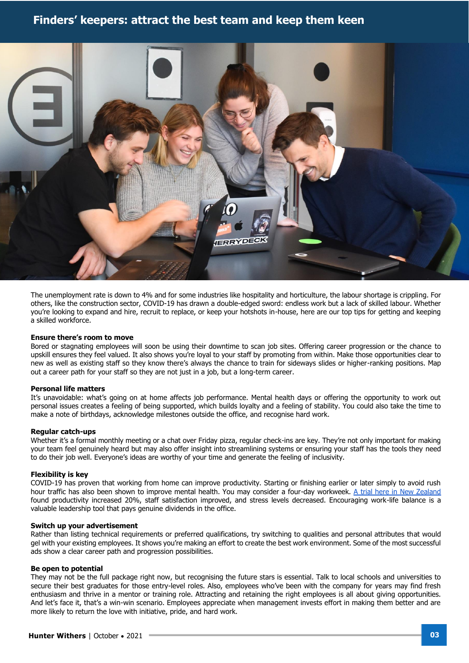### **Finders' keepers: attract the best team and keep them keen**



The unemployment rate is down to 4% and for some industries like hospitality and horticulture, the labour shortage is crippling. For others, like the construction sector, COVID-19 has drawn a double-edged sword: endless work but a lack of skilled labour. Whether you're looking to expand and hire, recruit to replace, or keep your hotshots in-house, here are our top tips for getting and keeping a skilled workforce.

#### **Ensure there's room to move**

Bored or stagnating employees will soon be using their downtime to scan job sites. Offering career progression or the chance to upskill ensures they feel valued. It also shows you're loyal to your staff by promoting from within. Make those opportunities clear to new as well as existing staff so they know there's always the chance to train for sideways slides or higher-ranking positions. Map out a career path for your staff so they are not just in a job, but a long-term career.

#### **Personal life matters**

It's unavoidable: what's going on at home affects job performance. Mental health days or offering the opportunity to work out personal issues creates a feeling of being supported, which builds loyalty and a feeling of stability. You could also take the time to make a note of birthdays, acknowledge milestones outside the office, and recognise hard work.

#### **Regular catch-ups**

Whether it's a formal monthly meeting or a chat over Friday pizza, regular check-ins are key. They're not only important for making your team feel genuinely heard but may also offer insight into streamlining systems or ensuring your staff has the tools they need to do their job well. Everyone's ideas are worthy of your time and generate the feeling of inclusivity.

#### **Flexibility is key**

COVID-19 has proven that working from home can improve productivity. Starting or finishing earlier or later simply to avoid rush hour traffic has also been shown to improve mental health. You may consider a four-day workweek. [A trial here in New Zealand](https://www.newsroom.co.nz/disappointingly-slow-uptake-of-4-day-week) found productivity increased 20%, staff satisfaction improved, and stress levels decreased. Encouraging work-life balance is a valuable leadership tool that pays genuine dividends in the office.

#### **Switch up your advertisement**

Rather than listing technical requirements or preferred qualifications, try switching to qualities and personal attributes that would gel with your existing employees. It shows you're making an effort to create the best work environment. Some of the most successful ads show a clear career path and progression possibilities.

#### **Be open to potential**

They may not be the full package right now, but recognising the future stars is essential. Talk to local schools and universities to secure their best graduates for those entry-level roles. Also, employees who've been with the company for years may find fresh enthusiasm and thrive in a mentor or training role. Attracting and retaining the right employees is all about giving opportunities. And let's face it, that's a win-win scenario. Employees appreciate when management invests effort in making them better and are more likely to return the love with initiative, pride, and hard work.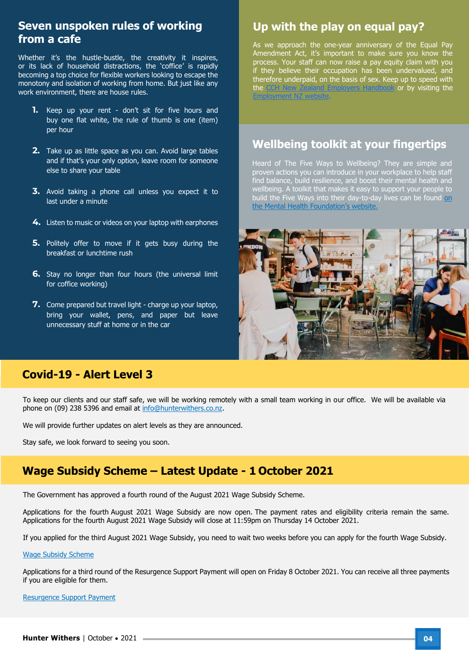### **Seven unspoken rules of working from a cafe**

Whether it's the hustle-bustle, the creativity it inspires, or its lack of household distractions, the 'coffice' is rapidly becoming a top choice for flexible workers looking to escape the monotony and isolation of working from home. But just like any work environment, there are house rules.

- **1.** Keep up your rent don't sit for five hours and buy one flat white, the rule of thumb is one (item) per hour
- **2.** Take up as little space as you can. Avoid large tables and if that's your only option, leave room for someone else to share your table
- **3.** Avoid taking a phone call unless you expect it to last under a minute
- **4.** Listen to music or videos on your laptop with earphones
- **5.** Politely offer to move if it gets busy during the breakfast or lunchtime rush
- **6.** Stay no longer than four hours (the universal limit for coffice working)
- **7.** Come prepared but travel light charge up your laptop, bring your wallet, pens, and paper but leave unnecessary stuff at home or in the car

### **Up with the play on equal pay?**

As we approach the one-year anniversary of the Equal Pay Amendment Act, it's important to make sure you know the process. Your staff can now raise a pay equity claim with you if they believe their occupation has been undervalued, and therefore underpaid, on the basis of sex. Keep up to speed with the [CCH New Zealand Employers Handbook](https://www.wolterskluwer.com/en-nz/solutions/cch-intelliconnect-apac/employers-handbook) or by visiting the [Employment NZ website.](https://www.employment.govt.nz/hours-and-wages/pay/pay-equity/pay-equity/)

### **Wellbeing toolkit at your fingertips**

Heard of The Five Ways to Wellbeing? They are simple and proven actions you can introduce in your workplace to help staff find balance, build resilience, and boost their mental health and wellbeing. A toolkit that makes it easy to support your people to build the Five Ways into their day-to-day lives can be found on [the Mental Health Foundation's website](https://mentalhealth.org.nz/resources/resource/five-ways-to-wellbeing-at-work-toolkit).



### **Covid-19 - Alert Level 3**

To keep our clients and our staff safe, we will be working remotely with a small team working in our office. We will be available via phone on (09) 238 5396 and email at [info@hunterwithers.co.nz.](mailto:info@hunterwithers.co.nz)

We will provide further updates on alert levels as they are announced.

Stay safe, we look forward to seeing you soon.

### **Wage Subsidy Scheme – Latest Update - 1 October 2021**

The Government has approved a fourth round of the August 2021 Wage Subsidy Scheme.

Applications for the fourth August 2021 Wage Subsidy are now open. The payment rates and eligibility criteria remain the same. Applications for the fourth August 2021 Wage Subsidy will close at 11:59pm on Thursday 14 October 2021.

If you applied for the third August 2021 Wage Subsidy, you need to wait two weeks before you can apply for the fourth Wage Subsidy.

#### [Wage Subsidy Scheme](https://covid19.govt.nz/business-and-money/financial-support/financial-support-for-businesses/#if-your-business-has-reduced-revenue)

Applications for a third round of the Resurgence Support Payment will open on Friday 8 October 2021. You can receive all three payments if you are eligible for them.

#### [Resurgence Support Payment](https://covid19.govt.nz/business-and-money/financial-support/financial-support-for-businesses/#rsp)